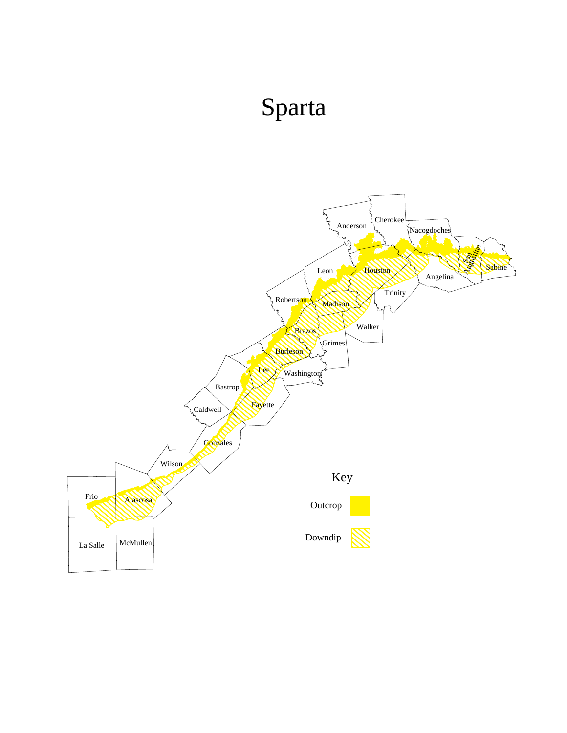## Sparta